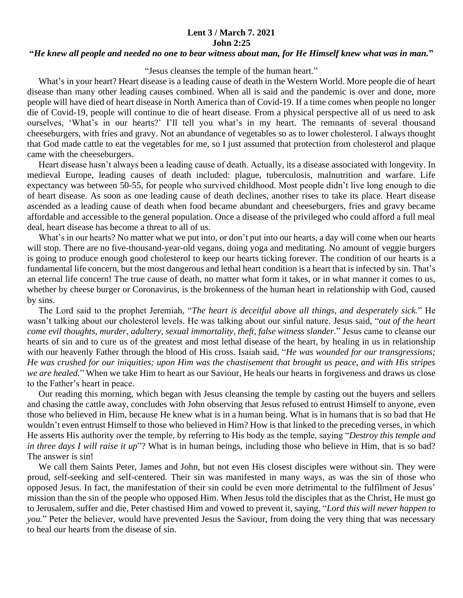## **Lent 3 / March 7. 2021 John 2:25**

## **"***He knew all people and needed no one to bear witness about man, for He Himself knew what was in man.***"**

"Jesus cleanses the temple of the human heart."

 What's in your heart? Heart disease is a leading cause of death in the Western World. More people die of heart disease than many other leading causes combined. When all is said and the pandemic is over and done, more people will have died of heart disease in North America than of Covid-19. If a time comes when people no longer die of Covid-19, people will continue to die of heart disease. From a physical perspective all of us need to ask ourselves, 'What's in our hearts?' I'll tell you what's in my heart. The remnants of several thousand cheeseburgers, with fries and gravy. Not an abundance of vegetables so as to lower cholesterol. I always thought that God made cattle to eat the vegetables for me, so I just assumed that protection from cholesterol and plaque came with the cheeseburgers.

 Heart disease hasn't always been a leading cause of death. Actually, its a disease associated with longevity. In medieval Europe, leading causes of death included: plague, tuberculosis, malnutrition and warfare. Life expectancy was between 50-55, for people who survived childhood. Most people didn't live long enough to die of heart disease. As soon as one leading cause of death declines, another rises to take its place. Heart disease ascended as a leading cause of death when food became abundant and cheeseburgers, fries and gravy became affordable and accessible to the general population. Once a disease of the privileged who could afford a full meal deal, heart disease has become a threat to all of us.

What's in our hearts? No matter what we put into, or don't put into our hearts, a day will come when our hearts will stop. There are no five-thousand-year-old vegans, doing yoga and meditating. No amount of veggie burgers is going to produce enough good cholesterol to keep our hearts ticking forever. The condition of our hearts is a fundamental life concern, but the most dangerous and lethal heart condition is a heart that is infected by sin. That's an eternal life concern! The true cause of death, no matter what form it takes, or in what manner it comes to us, whether by cheese burger or Coronavirus, is the brokenness of the human heart in relationship with God, caused by sins.

 The Lord said to the prophet Jeremiah, "*The heart is deceitful above all things, and desperately sick.*" He wasn't talking about our cholesterol levels. He was talking about our sinful nature. Jesus said, "*out of the heart come evil thoughts, murder, adultery, sexual immortality, theft, false witness slander.*" Jesus came to cleanse our hearts of sin and to cure us of the greatest and most lethal disease of the heart, by healing in us in relationship with our heavenly Father through the blood of His cross. Isaiah said, "*He was wounded for our transgressions; He was crushed for our iniquities; upon Him was the chastisement that brought us peace, and with His stripes we are healed.*" When we take Him to heart as our Saviour, He heals our hearts in forgiveness and draws us close to the Father's heart in peace.

 Our reading this morning, which began with Jesus cleansing the temple by casting out the buyers and sellers and chasing the cattle away, concludes with John observing that Jesus refused to entrust Himself to anyone, even those who believed in Him, because He knew what is in a human being. What is in humans that is so bad that He wouldn't even entrust Himself to those who believed in Him? How is that linked to the preceding verses, in which He asserts His authority over the temple, by referring to His body as the temple, saying "*Destroy this temple and in three days I will raise it up*"? What is in human beings, including those who believe in Him, that is so bad? The answer is sin!

 We call them Saints Peter, James and John, but not even His closest disciples were without sin. They were proud, self-seeking and self-centered. Their sin was manifested in many ways, as was the sin of those who opposed Jesus. In fact, the manifestation of their sin could be even more detrimental to the fulfilment of Jesus' mission than the sin of the people who opposed Him. When Jesus told the disciples that as the Christ, He must go to Jerusalem, suffer and die, Peter chastised Him and vowed to prevent it, saying, "*Lord this will never happen to you.*" Peter the believer, would have prevented Jesus the Saviour, from doing the very thing that was necessary to heal our hearts from the disease of sin.